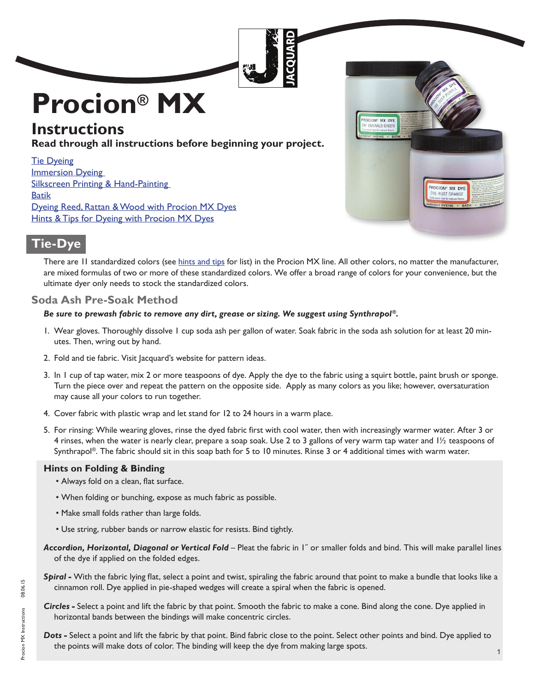# <span id="page-0-0"></span>**Procion® MX**

# **Instructions**

**Read through all instructions before beginning your project.**

Tie Dyeing **Immersion Dyeing** Silkscreen Printing & Hand-Painting **[Batik](#page-7-0)** 

[Dyeing Reed, Rattan & Wood with Procion MX Dyes](#page-8-0) **[Hints & Tips for Dyeing with Procion MX Dyes](#page-9-0)** 



# **Tie-Dye**

There are II standardized colors (see [hints and tips](#page-9-0) for list) in the Procion MX line. All other colors, no matter the manufacturer, are mixed formulas of two or more of these standardized colors. We offer a broad range of colors for your convenience, but the ultimate dyer only needs to stock the standardized colors.

# **Soda Ash Pre-Soak Method**

#### *Be sure to prewash fabric to remove any dirt, grease or sizing. We suggest using Synthrapol®.*

- 1. Wear gloves. Thoroughly dissolve 1 cup soda ash per gallon of water. Soak fabric in the soda ash solution for at least 20 minutes. Then, wring out by hand.
- 2. Fold and tie fabric. Visit Jacquard's website for pattern ideas.
- 3. In 1 cup of tap water, mix 2 or more teaspoons of dye. Apply the dye to the fabric using a squirt bottle, paint brush or sponge. Turn the piece over and repeat the pattern on the opposite side. Apply as many colors as you like; however, oversaturation may cause all your colors to run together.
- 4. Cover fabric with plastic wrap and let stand for 12 to 24 hours in a warm place.
- 5. For rinsing: While wearing gloves, rinse the dyed fabric first with cool water, then with increasingly warmer water. After 3 or 4 rinses, when the water is nearly clear, prepare a soap soak. Use 2 to 3 gallons of very warm tap water and 1½ teaspoons of Synthrapol®. The fabric should sit in this soap bath for 5 to 10 minutes. Rinse 3 or 4 additional times with warm water.

#### **Hints on Folding & Binding**

- Always fold on a clean, flat surface.
- When folding or bunching, expose as much fabric as possible.
- Make small folds rather than large folds.
- Use string, rubber bands or narrow elastic for resists. Bind tightly.
- *Accordion, Horizontal, Diagonal or Vertical Fold*  Pleat the fabric in 1˝ or smaller folds and bind. This will make parallel lines of the dye if applied on the folded edges.
- *Spiral -* With the fabric lying flat, select a point and twist, spiraling the fabric around that point to make a bundle that looks like a cinnamon roll. Dye applied in pie-shaped wedges will create a spiral when the fabric is opened.
- *Circles -* Select a point and lift the fabric by that point. Smooth the fabric to make a cone. Bind along the cone. Dye applied in horizontal bands between the bindings will make concentric circles.
- *Dots -* Select a point and lift the fabric by that point. Bind fabric close to the point. Select other points and bind. Dye applied to the points will make dots of color. The binding will keep the dye from making large spots.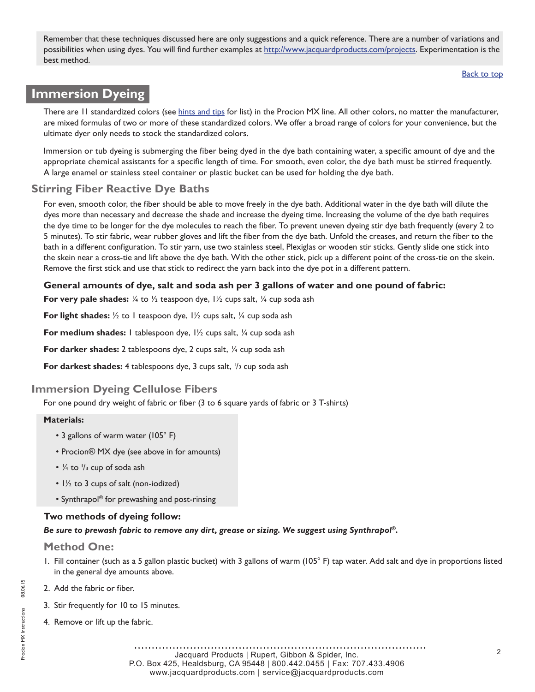<span id="page-1-0"></span>Remember that these techniques discussed here are only suggestions and a quick reference. There are a number of variations and possibilities when using dyes. You will find further examples at [http://www.jacquardproducts.com/projects.](http://www.jacquardproducts.com/projects.html) Experimentation is the best method.

[Back to top](#page-0-0)

# **Immersion Dyeing**

There are II standardized colors (see [hints and tips](#page-9-0) for list) in the Procion MX line. All other colors, no matter the manufacturer, are mixed formulas of two or more of these standardized colors. We offer a broad range of colors for your convenience, but the ultimate dyer only needs to stock the standardized colors.

Immersion or tub dyeing is submerging the fiber being dyed in the dye bath containing water, a specific amount of dye and the appropriate chemical assistants for a specific length of time. For smooth, even color, the dye bath must be stirred frequently. A large enamel or stainless steel container or plastic bucket can be used for holding the dye bath.

# **Stirring Fiber Reactive Dye Baths**

For even, smooth color, the fiber should be able to move freely in the dye bath. Additional water in the dye bath will dilute the dyes more than necessary and decrease the shade and increase the dyeing time. Increasing the volume of the dye bath requires the dye time to be longer for the dye molecules to reach the fiber. To prevent uneven dyeing stir dye bath frequently (every 2 to 5 minutes). To stir fabric, wear rubber gloves and lift the fiber from the dye bath. Unfold the creases, and return the fiber to the bath in a different configuration. To stir yarn, use two stainless steel, Plexiglas or wooden stir sticks. Gently slide one stick into the skein near a cross-tie and lift above the dye bath. With the other stick, pick up a different point of the cross-tie on the skein. Remove the first stick and use that stick to redirect the yarn back into the dye pot in a different pattern.

#### **General amounts of dye, salt and soda ash per 3 gallons of water and one pound of fabric:**

**For very pale shades:**  $\frac{1}{4}$  to  $\frac{1}{2}$  teaspoon dye,  $\frac{1}{2}$  cups salt,  $\frac{1}{4}$  cup soda ash

**For light shades:**  $\frac{1}{2}$  to 1 teaspoon dye,  $\frac{1}{2}$  cups salt,  $\frac{1}{4}$  cup soda ash

**For medium shades:** I tablespoon dye, I<sup>1</sup>/<sub>2</sub> cups salt, <sup>1</sup>/<sub>4</sub> cup soda ash

**For darker shades:** 2 tablespoons dye, 2 cups salt, ¼ cup soda ash

**For darkest shades:** 4 tablespoons dye, 3 cups salt,  $\frac{1}{3}$  cup soda ash

# **Immersion Dyeing Cellulose Fibers**

For one pound dry weight of fabric or fiber (3 to 6 square yards of fabric or 3 T-shirts)

#### **Materials:**

- 3 gallons of warm water (105° F)
- Procion® MX dye (see above in for amounts)
- $\cdot$   $\frac{1}{4}$  to  $\frac{1}{3}$  cup of soda ash
- 1½ to 3 cups of salt (non-iodized)
- Synthrapol® for prewashing and post-rinsing

#### **Two methods of dyeing follow:**

*Be sure to prewash fabric to remove any dirt, grease or sizing. We suggest using Synthrapol®.*

#### **Method One:**

- 1. Fill container (such as a 5 gallon plastic bucket) with 3 gallons of warm (105° F) tap water. Add salt and dye in proportions listed in the general dye amounts above.
- 2. Add the fabric or fiber.
- 3. Stir frequently for 10 to 15 minutes.
- 4. Remove or lift up the fabric.

Jacquard Products | Rupert, Gibbon & Spider, Inc. P.O. Box 425, Healdsburg, CA 95448 | 800.442.0455 | Fax: 707.433.4906 www.jacquardproducts.com | service@jacquardproducts.com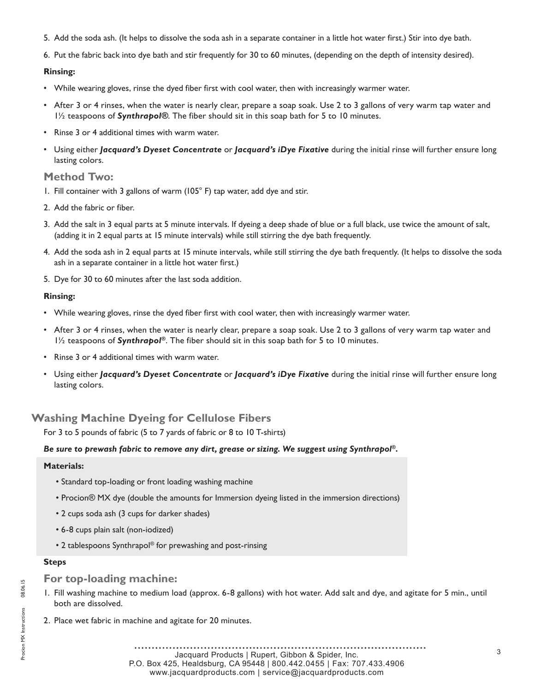- 5. Add the soda ash. (It helps to dissolve the soda ash in a separate container in a little hot water first.) Stir into dye bath.
- 6. Put the fabric back into dye bath and stir frequently for 30 to 60 minutes, (depending on the depth of intensity desired).

#### **Rinsing:**

- While wearing gloves, rinse the dyed fiber first with cool water, then with increasingly warmer water.
- After 3 or 4 rinses, when the water is nearly clear, prepare a soap soak. Use 2 to 3 gallons of very warm tap water and 1½ teaspoons of *Synthrapol®*. The fiber should sit in this soap bath for 5 to 10 minutes.
- Rinse 3 or 4 additional times with warm water.
- Using either *Jacquard's Dyeset Concentrate* or *Jacquard's iDye Fixative* during the initial rinse will further ensure long lasting colors.

## **Method Two:**

- 1. Fill container with 3 gallons of warm (105° F) tap water, add dye and stir.
- 2. Add the fabric or fiber.
- 3. Add the salt in 3 equal parts at 5 minute intervals. If dyeing a deep shade of blue or a full black, use twice the amount of salt, (adding it in 2 equal parts at 15 minute intervals) while still stirring the dye bath frequently.
- 4. Add the soda ash in 2 equal parts at 15 minute intervals, while still stirring the dye bath frequently. (It helps to dissolve the soda ash in a separate container in a little hot water first.)
- 5. Dye for 30 to 60 minutes after the last soda addition.

#### **Rinsing:**

- While wearing gloves, rinse the dyed fiber first with cool water, then with increasingly warmer water.
- After 3 or 4 rinses, when the water is nearly clear, prepare a soap soak. Use 2 to 3 gallons of very warm tap water and 1½ teaspoons of *Synthrapol®*. The fiber should sit in this soap bath for 5 to 10 minutes.
- Rinse 3 or 4 additional times with warm water.
- Using either *Jacquard's Dyeset Concentrate* or *Jacquard's iDye Fixative* during the initial rinse will further ensure long lasting colors.

## **Washing Machine Dyeing for Cellulose Fibers**

For 3 to 5 pounds of fabric (5 to 7 yards of fabric or 8 to 10 T-shirts)

#### *Be sure to prewash fabric to remove any dirt, grease or sizing. We suggest using Synthrapol®.*

#### **Materials:**

- Standard top-loading or front loading washing machine
- Procion® MX dye (double the amounts for Immersion dyeing listed in the immersion directions)
- 2 cups soda ash (3 cups for darker shades)
- 6-8 cups plain salt (non-iodized)
- 2 tablespoons Synthrapol® for prewashing and post-rinsing

#### **Steps**

#### **For top-loading machine:**

- 1. Fill washing machine to medium load (approx. 6-8 gallons) with hot water. Add salt and dye, and agitate for 5 min., until both are dissolved.
- 2. Place wet fabric in machine and agitate for 20 minutes.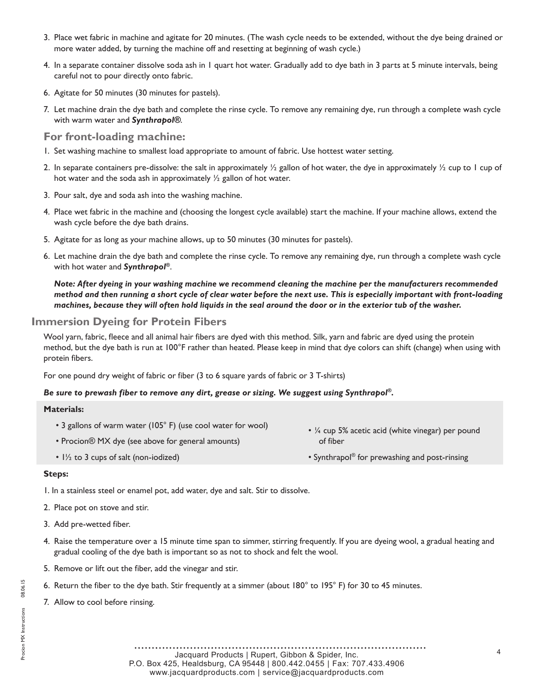- 3. Place wet fabric in machine and agitate for 20 minutes. (The wash cycle needs to be extended, without the dye being drained or more water added, by turning the machine off and resetting at beginning of wash cycle.)
- 4. In a separate container dissolve soda ash in 1 quart hot water. Gradually add to dye bath in 3 parts at 5 minute intervals, being careful not to pour directly onto fabric.
- 6. Agitate for 50 minutes (30 minutes for pastels).
- 7. Let machine drain the dye bath and complete the rinse cycle. To remove any remaining dye, run through a complete wash cycle with warm water and *Synthrapol®*.

#### **For front-loading machine:**

- 1. Set washing machine to smallest load appropriate to amount of fabric. Use hottest water setting.
- 2. In separate containers pre-dissolve: the salt in approximately  $\frac{1}{2}$  gallon of hot water, the dye in approximately  $\frac{1}{2}$  cup to 1 cup of hot water and the soda ash in approximately ½ gallon of hot water.
- 3. Pour salt, dye and soda ash into the washing machine.
- 4. Place wet fabric in the machine and (choosing the longest cycle available) start the machine. If your machine allows, extend the wash cycle before the dye bath drains.
- 5. Agitate for as long as your machine allows, up to 50 minutes (30 minutes for pastels).
- 6. Let machine drain the dye bath and complete the rinse cycle. To remove any remaining dye, run through a complete wash cycle with hot water and *Synthrapol®*.

*Note: After dyeing in your washing machine we recommend cleaning the machine per the manufacturers recommended method and then running a short cycle of clear water before the next use. This is especially important with front-loading machines, because they will often hold liquids in the seal around the door or in the exterior tub of the washer.*

## **Immersion Dyeing for Protein Fibers**

Wool yarn, fabric, fleece and all animal hair fibers are dyed with this method. Silk, yarn and fabric are dyed using the protein method, but the dye bath is run at 100°F rather than heated. Please keep in mind that dye colors can shift (change) when using with protein fibers.

For one pound dry weight of fabric or fiber (3 to 6 square yards of fabric or 3 T-shirts)

#### *Be sure to prewash fiber to remove any dirt, grease or sizing. We suggest using Synthrapol®.*

#### **Materials:**

- 3 gallons of warm water (105° F) (use cool water for wool)
	- Procion® MX dye (see above for general amounts)
	- 1½ to 3 cups of salt (non-iodized)
- ¼ cup 5% acetic acid (white vinegar) per pound of fiber
- Synthrapol® for prewashing and post-rinsing

#### **Steps:**

1. In a stainless steel or enamel pot, add water, dye and salt. Stir to dissolve.

- 2. Place pot on stove and stir.
- 3. Add pre-wetted fiber.
- 4. Raise the temperature over a 15 minute time span to simmer, stirring frequently. If you are dyeing wool, a gradual heating and gradual cooling of the dye bath is important so as not to shock and felt the wool.
- 5. Remove or lift out the fiber, add the vinegar and stir.
- 6. Return the fiber to the dye bath. Stir frequently at a simmer (about 180° to 195° F) for 30 to 45 minutes.
- 7. Allow to cool before rinsing.

............... . . . . . . . . . . . . . . . . . <sup>4</sup> Jacquard Products | Rupert, Gibbon & Spider, Inc. P.O. Box 425, Healdsburg, CA 95448 | 800.442.0455 | Fax: 707.433.4906 www.jacquardproducts.com | service@jacquardproducts.com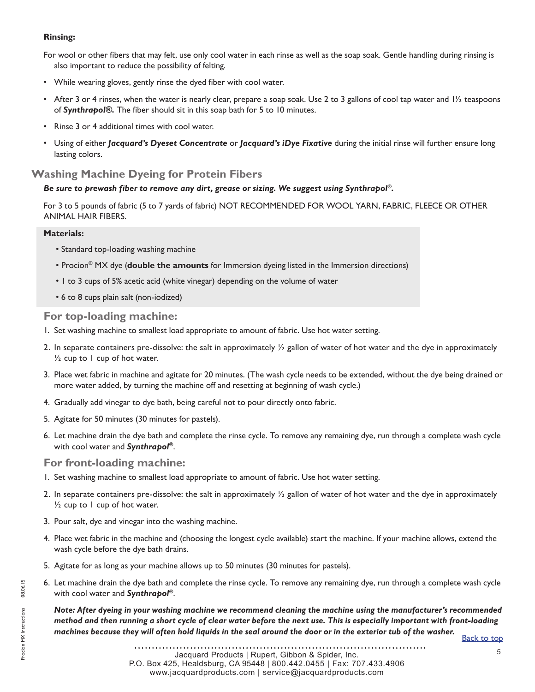#### **Rinsing:**

For wool or other fibers that may felt, use only cool water in each rinse as well as the soap soak. Gentle handling during rinsing is also important to reduce the possibility of felting.

- While wearing gloves, gently rinse the dyed fiber with cool water.
- After 3 or 4 rinses, when the water is nearly clear, prepare a soap soak. Use 2 to 3 gallons of cool tap water and  $1/2$  teaspoons of *Synthrapol®.* The fiber should sit in this soap bath for 5 to 10 minutes.
- Rinse 3 or 4 additional times with cool water.
- Using of either *Jacquard's Dyeset Concentrate* or *Jacquard's iDye Fixative* during the initial rinse will further ensure long lasting colors.

## **Washing Machine Dyeing for Protein Fibers**

#### *Be sure to prewash fiber to remove any dirt, grease or sizing. We suggest using Synthrapol®.*

For 3 to 5 pounds of fabric (5 to 7 yards of fabric) NOT RECOMMENDED FOR WOOL YARN, FABRIC, FLEECE OR OTHER ANIMAL HAIR FIBERS.

#### **Materials:**

- Standard top-loading washing machine
- Procion® MX dye (**double the amounts** for Immersion dyeing listed in the Immersion directions)
- 1 to 3 cups of 5% acetic acid (white vinegar) depending on the volume of water
- 6 to 8 cups plain salt (non-iodized)

#### **For top-loading machine:**

- 1. Set washing machine to smallest load appropriate to amount of fabric. Use hot water setting.
- 2. In separate containers pre-dissolve: the salt in approximately  $\frac{1}{2}$  gallon of water of hot water and the dye in approximately  $\frac{1}{2}$  cup to 1 cup of hot water.
- 3. Place wet fabric in machine and agitate for 20 minutes. (The wash cycle needs to be extended, without the dye being drained or more water added, by turning the machine off and resetting at beginning of wash cycle.)
- 4. Gradually add vinegar to dye bath, being careful not to pour directly onto fabric.
- 5. Agitate for 50 minutes (30 minutes for pastels).
- 6. Let machine drain the dye bath and complete the rinse cycle. To remove any remaining dye, run through a complete wash cycle with cool water and *Synthrapol®*.

#### **For front-loading machine:**

- 1. Set washing machine to smallest load appropriate to amount of fabric. Use hot water setting.
- 2. In separate containers pre-dissolve: the salt in approximately  $\frac{1}{2}$  gallon of water of hot water and the dye in approximately  $\frac{1}{2}$  cup to 1 cup of hot water.
- 3. Pour salt, dye and vinegar into the washing machine.
- 4. Place wet fabric in the machine and (choosing the longest cycle available) start the machine. If your machine allows, extend the wash cycle before the dye bath drains.
- 5. Agitate for as long as your machine allows up to 50 minutes (30 minutes for pastels).
- 6. Let machine drain the dye bath and complete the rinse cycle. To remove any remaining dye, run through a complete wash cycle with cool water and *Synthrapol®*.

*Note: After dyeing in your washing machine we recommend cleaning the machine using the manufacturer's recommended method and then running a short cycle of clear water before the next use. This is especially important with front-loading machines because they will often hold liquids in the seal around the door or in the exterior tub of the washer.*<br>[Back to top](#page-0-0)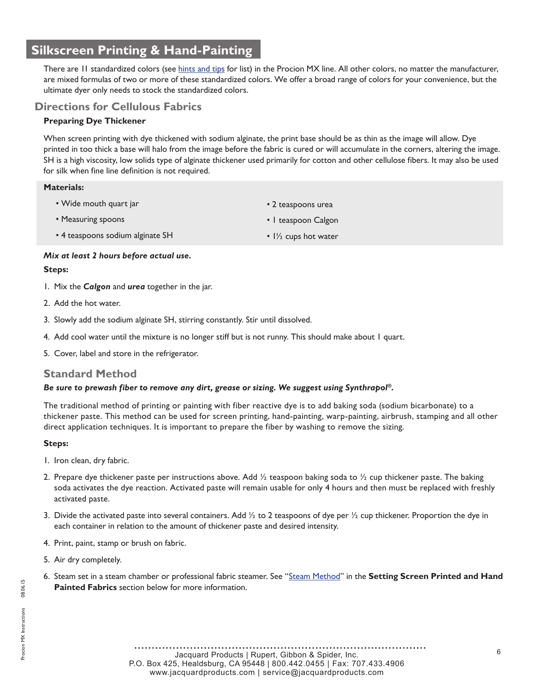# <span id="page-5-0"></span>**Silkscreen Printing & Hand-Painting**

There are 11 standardized colors (see [hints and tips](#page-9-0) for list) in the Procion MX line. All other colors, no matter the manufacturer, are mixed formulas of two or more of these standardized colors. We offer a broad range of colors for your convenience, but the ultimate dyer only needs to stock the standardized colors.

## **Directions for Cellulous Fabrics**

#### **Preparing Dye Thickener**

When screen printing with dye thickened with sodium alginate, the print base should be as thin as the image will allow. Dye printed in too thick a base will halo from the image before the fabric is cured or will accumulate in the corners, altering the image. SH is a high viscosity, low solids type of alginate thickener used primarily for cotton and other cellulose fibers. It may also be used for silk when fine line definition is not required.

#### **Materials:**

- Wide mouth quart jar
- Measuring spoons
- 4 teaspoons sodium alginate SH
- 2 teaspoons urea
- 1 teaspoon Calgon
- $1\frac{1}{2}$  cups hot water

#### *Mix at least 2 hours before actual use.*

#### **Steps:**

- 1. Mix the *Calgon* and *urea* together in the jar.
- 2. Add the hot water.
- 3. Slowly add the sodium alginate SH, stirring constantly. Stir until dissolved.
- 4. Add cool water until the mixture is no longer stiff but is not runny. This should make about 1 quart.
- 5. Cover, label and store in the refrigerator.

## **Standard Method**

#### *Be sure to prewash fiber to remove any dirt, grease or sizing. We suggest using Synthrapol®.*

The traditional method of printing or painting with fiber reactive dye is to add baking soda (sodium bicarbonate) to a thickener paste. This method can be used for screen printing, hand-painting, warp-painting, airbrush, stamping and all other direct application techniques. It is important to prepare the fiber by washing to remove the sizing.

#### **Steps:**

- 1. Iron clean, dry fabric.
- 2. Prepare dye thickener paste per instructions above. Add  $\frac{1}{2}$  teaspoon baking soda to  $\frac{1}{2}$  cup thickener paste. The baking soda activates the dye reaction. Activated paste will remain usable for only 4 hours and then must be replaced with freshly activated paste.
- 3. Divide the activated paste into several containers. Add  $\frac{1}{2}$  to 2 teaspoons of dye per  $\frac{1}{2}$  cup thickener. Proportion the dye in each container in relation to the amount of thickener paste and desired intensity.
- 4. Print, paint, stamp or brush on fabric.
- 5. Air dry completely.
- 6. Steam set in a steam chamber or professional fabric steamer. See ["Steam Method"](#page-6-0) in the **Setting Screen Printed and Hand Painted Fabrics** section below for more information.

<sup>6</sup> Jacquard Products | Rupert, Gibbon & Spider, Inc. P.O. Box 425, Healdsburg, CA 95448 | 800.442.0455 | Fax: 707.433.4906 www.jacquardproducts.com | service@jacquardproducts.com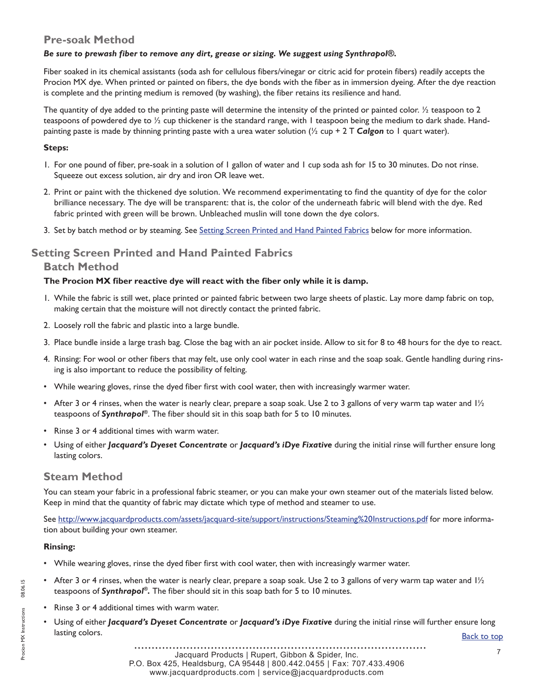# <span id="page-6-0"></span>**Pre-soak Method**

#### *Be sure to prewash fiber to remove any dirt, grease or sizing. We suggest using Synthrapol®.*

Fiber soaked in its chemical assistants (soda ash for cellulous fibers/vinegar or citric acid for protein fibers) readily accepts the Procion MX dye. When printed or painted on fibers, the dye bonds with the fiber as in immersion dyeing. After the dye reaction is complete and the printing medium is removed (by washing), the fiber retains its resilience and hand.

The quantity of dye added to the printing paste will determine the intensity of the printed or painted color.  $\frac{1}{2}$  teaspoon to 2 teaspoons of powdered dye to ½ cup thickener is the standard range, with 1 teaspoon being the medium to dark shade. Handpainting paste is made by thinning printing paste with a urea water solution (½ cup + 2 T *Calgon* to 1 quart water).

#### **Steps:**

- 1. For one pound of fiber, pre-soak in a solution of 1 gallon of water and 1 cup soda ash for 15 to 30 minutes. Do not rinse. Squeeze out excess solution, air dry and iron OR leave wet.
- 2. Print or paint with the thickened dye solution. We recommend experimentating to find the quantity of dye for the color brilliance necessary. The dye will be transparent: that is, the color of the underneath fabric will blend with the dye. Red fabric printed with green will be brown. Unbleached muslin will tone down the dye colors.
- 3. Set by batch method or by steaming. See Setting Screen Printed and Hand Painted Fabrics below for more information.

# **Setting Screen Printed and Hand Painted Fabrics**

#### **Batch Method**

#### **The Procion MX fiber reactive dye will react with the fiber only while it is damp.**

- 1. While the fabric is still wet, place printed or painted fabric between two large sheets of plastic. Lay more damp fabric on top, making certain that the moisture will not directly contact the printed fabric.
- 2. Loosely roll the fabric and plastic into a large bundle.
- 3. Place bundle inside a large trash bag. Close the bag with an air pocket inside. Allow to sit for 8 to 48 hours for the dye to react.
- 4. Rinsing: For wool or other fibers that may felt, use only cool water in each rinse and the soap soak. Gentle handling during rinsing is also important to reduce the possibility of felting.
- While wearing gloves, rinse the dyed fiber first with cool water, then with increasingly warmer water.
- After 3 or 4 rinses, when the water is nearly clear, prepare a soap soak. Use 2 to 3 gallons of very warm tap water and  $1/2$ teaspoons of *Synthrapol®*. The fiber should sit in this soap bath for 5 to 10 minutes.
- Rinse 3 or 4 additional times with warm water.
- Using of either *Jacquard's Dyeset Concentrate* or *Jacquard's iDye Fixative* during the initial rinse will further ensure long lasting colors.

## **Steam Method**

You can steam your fabric in a professional fabric steamer, or you can make your own steamer out of the materials listed below. Keep in mind that the quantity of fabric may dictate which type of method and steamer to use.

See http://www.jacquardproducts.com/assets/jacquard-site/support/instructions/Steaming%20Instructions.pdf for more information about building your own steamer.

#### **Rinsing:**

- While wearing gloves, rinse the dyed fiber first with cool water, then with increasingly warmer water.
- After 3 or 4 rinses, when the water is nearly clear, prepare a soap soak. Use 2 to 3 gallons of very warm tap water and  $1/2$ teaspoons of *Synthrapol®.* The fiber should sit in this soap bath for 5 to 10 minutes.
- Rinse 3 or 4 additional times with warm water.
- Using of either *Jacquard's Dyeset Concentrate or Jacquard's iDye Fixative during the initial rinse will further ensure long* lasting colors. [Back to top](#page-0-0)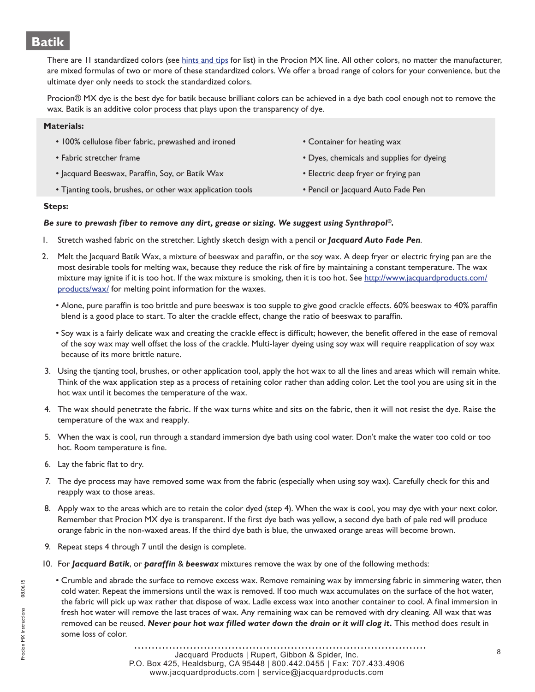# <span id="page-7-0"></span>**Batik**

There are II standardized colors (see [hints and tips](#page-9-0) for list) in the Procion MX line. All other colors, no matter the manufacturer, are mixed formulas of two or more of these standardized colors. We offer a broad range of colors for your convenience, but the ultimate dyer only needs to stock the standardized colors.

Procion® MX dye is the best dye for batik because brilliant colors can be achieved in a dye bath cool enough not to remove the wax. Batik is an additive color process that plays upon the transparency of dye.

| <b>Materials:</b>                                         |                                           |
|-----------------------------------------------------------|-------------------------------------------|
| • 100% cellulose fiber fabric, prewashed and ironed       | • Container for heating wax               |
| • Fabric stretcher frame                                  | • Dyes, chemicals and supplies for dyeing |
| • Jacquard Beeswax, Paraffin, Soy, or Batik Wax           | • Electric deep fryer or frying pan       |
| • Tjanting tools, brushes, or other wax application tools | • Pencil or Jacquard Auto Fade Pen        |

#### **Steps:**

#### *Be sure to prewash fiber to remove any dirt, grease or sizing. We suggest using Synthrapol®.*

- 1. Stretch washed fabric on the stretcher. Lightly sketch design with a pencil or *Jacquard Auto Fade Pen*.
- 2. Melt the Jacquard Batik Wax, a mixture of beeswax and paraffin, or the soy wax. A deep fryer or electric frying pan are the most desirable tools for melting wax, because they reduce the risk of fire by maintaining a constant temperature. The wax mixture may ignite if it is too hot. If the wax mixture is smoking, then it is too hot. See [http://www.jacquardproducts.com/](http://www.jacquardproducts.com/waxes.html) [products/wax/](http://www.jacquardproducts.com/waxes.html) for melting point information for the waxes.
	- Alone, pure paraffin is too brittle and pure beeswax is too supple to give good crackle effects. 60% beeswax to 40% paraffin blend is a good place to start. To alter the crackle effect, change the ratio of beeswax to paraffin.
	- Soy wax is a fairly delicate wax and creating the crackle effect is difficult; however, the benefit offered in the ease of removal of the soy wax may well offset the loss of the crackle. Multi-layer dyeing using soy wax will require reapplication of soy wax because of its more brittle nature.
- 3. Using the tjanting tool, brushes, or other application tool, apply the hot wax to all the lines and areas which will remain white. Think of the wax application step as a process of retaining color rather than adding color. Let the tool you are using sit in the hot wax until it becomes the temperature of the wax.
- 4. The wax should penetrate the fabric. If the wax turns white and sits on the fabric, then it will not resist the dye. Raise the temperature of the wax and reapply.
- 5. When the wax is cool, run through a standard immersion dye bath using cool water. Don't make the water too cold or too hot. Room temperature is fine.
- 6. Lay the fabric flat to dry.
- 7. The dye process may have removed some wax from the fabric (especially when using soy wax). Carefully check for this and reapply wax to those areas.
- 8. Apply wax to the areas which are to retain the color dyed (step 4). When the wax is cool, you may dye with your next color. Remember that Procion MX dye is transparent. If the first dye bath was yellow, a second dye bath of pale red will produce orange fabric in the non-waxed areas. If the third dye bath is blue, the unwaxed orange areas will become brown.
- 9. Repeat steps 4 through 7 until the design is complete.
- 10. For *Jacquard Batik*, or *paraffin* & *beeswax* mixtures remove the wax by one of the following methods:
	- Crumble and abrade the surface to remove excess wax. Remove remaining wax by immersing fabric in simmering water, then cold water. Repeat the immersions until the wax is removed. If too much wax accumulates on the surface of the hot water, the fabric will pick up wax rather that dispose of wax. Ladle excess wax into another container to cool. A final immersion in fresh hot water will remove the last traces of wax. Any remaining wax can be removed with dry cleaning. All wax that was removed can be reused. Never pour hot wax filled water down the drain or it will clog it. This method does result in some loss of color.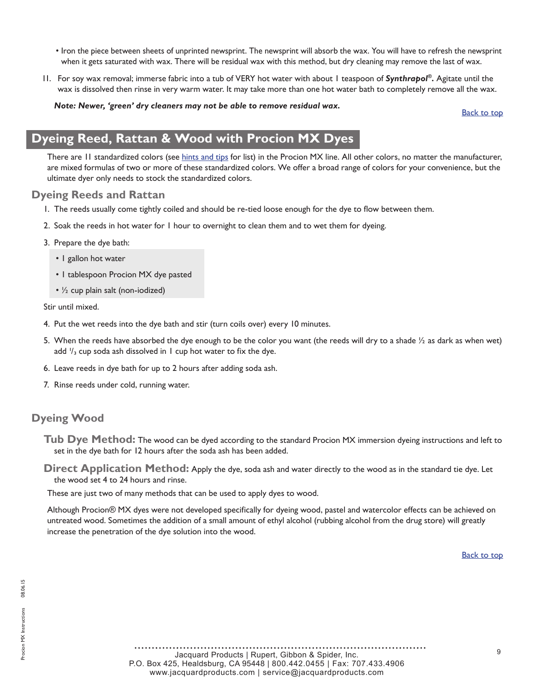- <span id="page-8-0"></span>• Iron the piece between sheets of unprinted newsprint. The newsprint will absorb the wax. You will have to refresh the newsprint when it gets saturated with wax. There will be residual wax with this method, but dry cleaning may remove the last of wax.
- 11. For soy wax removal; immerse fabric into a tub of VERY hot water with about 1 teaspoon of *Synthrapol®.* Agitate until the wax is dissolved then rinse in very warm water. It may take more than one hot water bath to completely remove all the wax.

#### *Note: Newer, 'green' dry cleaners may not be able to remove residual wax.*

[Back to top](#page-0-0)

# **Dyeing Reed, Rattan & Wood with Procion MX Dyes**

There are II standardized colors (see [hints and tips](#page-9-0) for list) in the Procion MX line. All other colors, no matter the manufacturer, are mixed formulas of two or more of these standardized colors. We offer a broad range of colors for your convenience, but the ultimate dyer only needs to stock the standardized colors.

#### **Dyeing Reeds and Rattan**

- 1. The reeds usually come tightly coiled and should be re-tied loose enough for the dye to flow between them.
- 2. Soak the reeds in hot water for 1 hour to overnight to clean them and to wet them for dyeing.
- 3. Prepare the dye bath:
	- 1 gallon hot water
	- 1 tablespoon Procion MX dye pasted
	- ½ cup plain salt (non-iodized)

Stir until mixed.

- 4. Put the wet reeds into the dye bath and stir (turn coils over) every 10 minutes.
- 5. When the reeds have absorbed the dye enough to be the color you want (the reeds will dry to a shade  $\frac{1}{2}$  as dark as when wet) add  $\mathcal{V}_3$  cup soda ash dissolved in 1 cup hot water to fix the dye.
- 6. Leave reeds in dye bath for up to 2 hours after adding soda ash.
- 7. Rinse reeds under cold, running water.

# **Dyeing Wood**

**Tub Dye Method:** The wood can be dyed according to the standard Procion MX immersion dyeing instructions and left to set in the dye bath for 12 hours after the soda ash has been added.

**Direct Application Method:** Apply the dye, soda ash and water directly to the wood as in the standard tie dye. Let the wood set 4 to 24 hours and rinse.

These are just two of many methods that can be used to apply dyes to wood.

Although Procion® MX dyes were not developed specifically for dyeing wood, pastel and watercolor effects can be achieved on untreated wood. Sometimes the addition of a small amount of ethyl alcohol (rubbing alcohol from the drug store) will greatly increase the penetration of the dye solution into the wood.

[Back to top](#page-0-0)

<sup>9</sup> Jacquard Products | Rupert, Gibbon & Spider, Inc. P.O. Box 425, Healdsburg, CA 95448 | 800.442.0455 | Fax: 707.433.4906 www.jacquardproducts.com | service@jacquardproducts.com